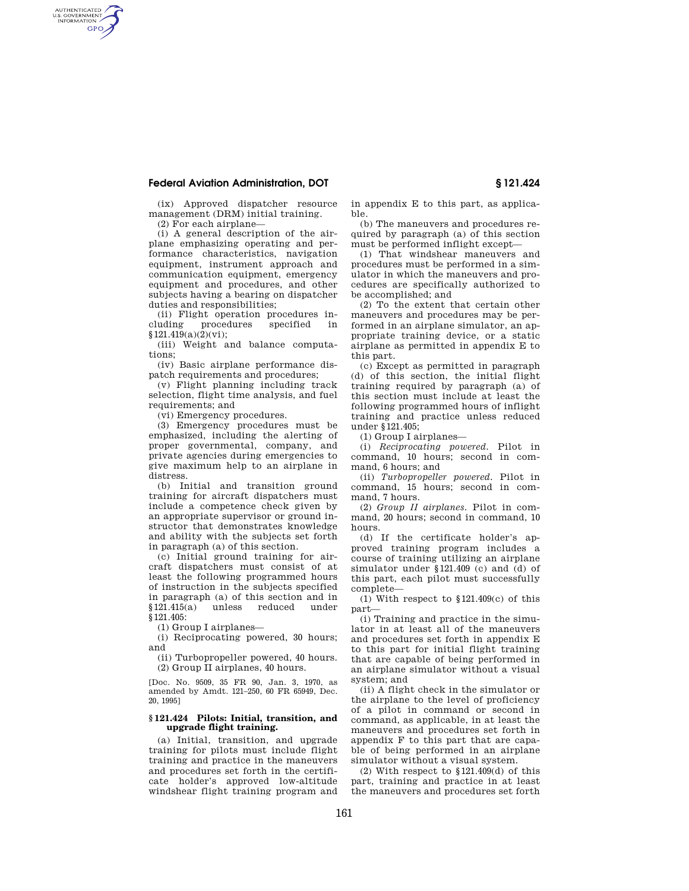### **Federal Aviation Administration, DOT § 121.424**

(ix) Approved dispatcher resource management (DRM) initial training.

(2) For each airplane—

AUTHENTICATED<br>U.S. GOVERNMENT<br>INFORMATION **GPO** 

> (i) A general description of the airplane emphasizing operating and performance characteristics, navigation equipment, instrument approach and communication equipment, emergency equipment and procedures, and other subjects having a bearing on dispatcher duties and responsibilities;

> (ii) Flight operation procedures including procedures specified in §121.419(a)(2)(vi);

> (iii) Weight and balance computations;

> (iv) Basic airplane performance dispatch requirements and procedures;

> (v) Flight planning including track selection, flight time analysis, and fuel requirements; and

(vi) Emergency procedures.

(3) Emergency procedures must be emphasized, including the alerting of proper governmental, company, and private agencies during emergencies to give maximum help to an airplane in distress.

(b) Initial and transition ground training for aircraft dispatchers must include a competence check given by an appropriate supervisor or ground instructor that demonstrates knowledge and ability with the subjects set forth in paragraph (a) of this section.

(c) Initial ground training for aircraft dispatchers must consist of at least the following programmed hours of instruction in the subjects specified in paragraph (a) of this section and in §121.415(a) unless reduced under §121.405:

(1) Group I airplanes—

(i) Reciprocating powered, 30 hours; and

(ii) Turbopropeller powered, 40 hours. (2) Group II airplanes, 40 hours.

[Doc. No. 9509, 35 FR 90, Jan. 3, 1970, as amended by Amdt. 121–250, 60 FR 65949, Dec. 20, 1995]

### **§ 121.424 Pilots: Initial, transition, and upgrade flight training.**

(a) Initial, transition, and upgrade training for pilots must include flight training and practice in the maneuvers and procedures set forth in the certificate holder's approved low-altitude windshear flight training program and

in appendix E to this part, as applicable.

(b) The maneuvers and procedures required by paragraph (a) of this section must be performed inflight except—

(1) That windshear maneuvers and procedures must be performed in a simulator in which the maneuvers and procedures are specifically authorized to be accomplished; and

(2) To the extent that certain other maneuvers and procedures may be performed in an airplane simulator, an appropriate training device, or a static airplane as permitted in appendix E to this part.

(c) Except as permitted in paragraph (d) of this section, the initial flight training required by paragraph (a) of this section must include at least the following programmed hours of inflight training and practice unless reduced under §121.405;

(1) Group I airplanes—

(i) *Reciprocating powered.* Pilot in command, 10 hours; second in command, 6 hours; and

(ii) *Turbopropeller powered.* Pilot in command, 15 hours; second in command, 7 hours.

(2) *Group II airplanes.* Pilot in command, 20 hours; second in command, 10 hours.

(d) If the certificate holder's approved training program includes a course of training utilizing an airplane simulator under §121.409 (c) and (d) of this part, each pilot must successfully complete—

(1) With respect to  $$121.409(c)$  of this part—

(i) Training and practice in the simulator in at least all of the maneuvers and procedures set forth in appendix E to this part for initial flight training that are capable of being performed in an airplane simulator without a visual system; and

(ii) A flight check in the simulator or the airplane to the level of proficiency of a pilot in command or second in command, as applicable, in at least the maneuvers and procedures set forth in appendix F to this part that are capable of being performed in an airplane simulator without a visual system.

(2) With respect to §121.409(d) of this part, training and practice in at least the maneuvers and procedures set forth